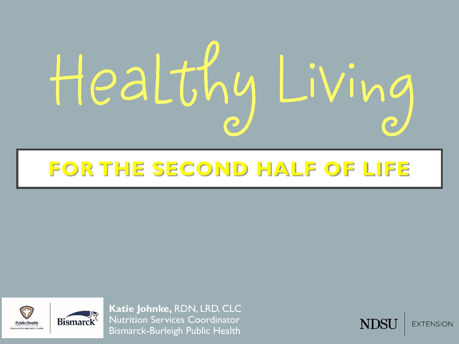# Healthy Living

# **FOR THE SECOND HALF OF LIFE**



**Katie Johnke,** RDN, LRD, CLC Nutrition Services Coordinator Bismarck-Burleigh Public Health

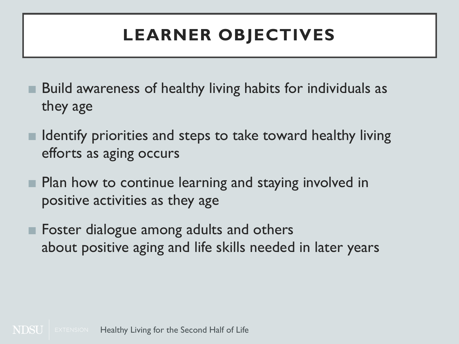# **LEARNER OBJECTIVES**

- Build awareness of healthy living habits for individuals as they age
- Identify priorities and steps to take toward healthy living efforts as aging occurs
- Plan how to continue learning and staying involved in positive activities as they age
- Foster dialogue among adults and others about positive aging and life skills needed in later years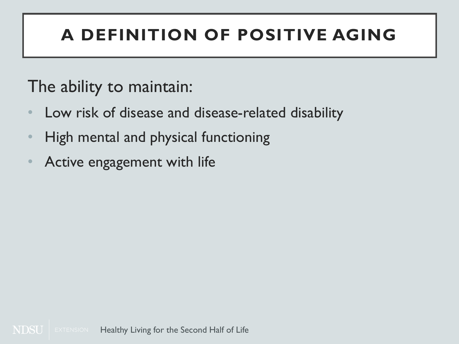# **A DEFINITION OF POSITIVE AGING**

## The ability to maintain:

- Low risk of disease and disease-related disability
- High mental and physical functioning
- Active engagement with life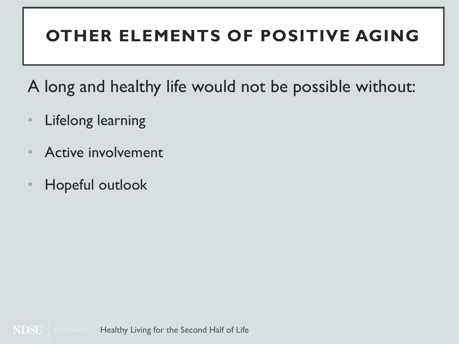# **OTHER ELEMENTS OF POSITIVE AGING**

A long and healthy life would not be possible without:

- Lifelong learning
- Active involvement
- Hopeful outlook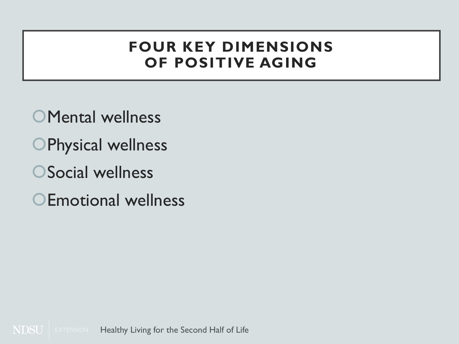#### **FOUR KEY DIMENSIONS OF POSITIVE AGING**

- **OMental wellness**
- OPhysical wellness
- OSocial wellness
- **OEmotional wellness**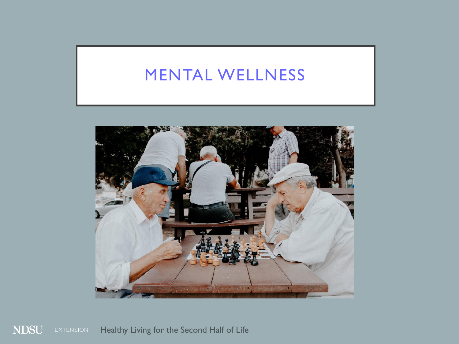## MENTAL WELLNESS

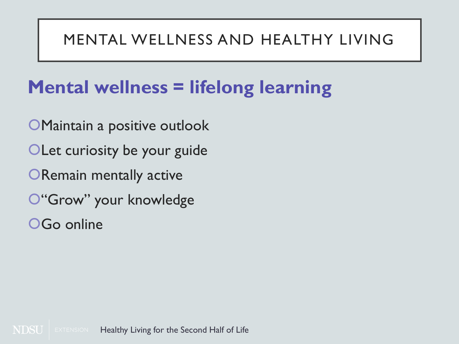#### MENTAL WELLNESS AND HEALTHY LIVING

# **Mental wellness = lifelong learning**

Maintain a positive outlook OLet curiosity be your guide **ORemain mentally active** O"Grow" your knowledge OGo online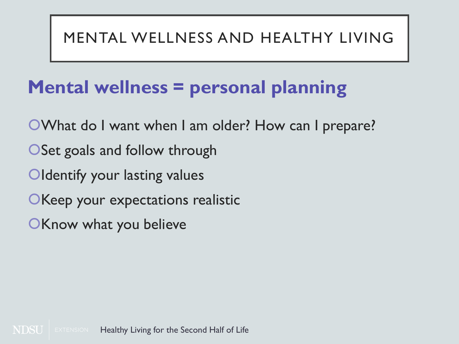## MENTAL WELLNESS AND HEALTHY LIVING

# **Mental wellness = personal planning**

- What do I want when I am older? How can I prepare?
- O Set goals and follow through
- **Oldentify your lasting values**
- **OKeep your expectations realistic**
- **OKnow what you believe**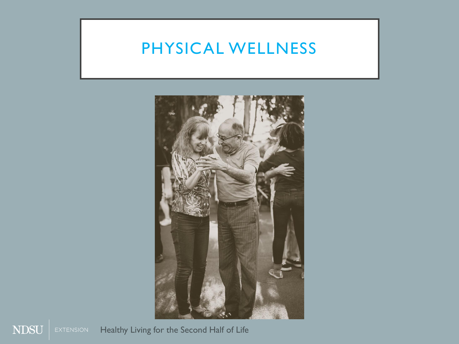## PHYSICAL WELLNESS



**NDSU** EXTENSION Healthy Living for the Second Half of Life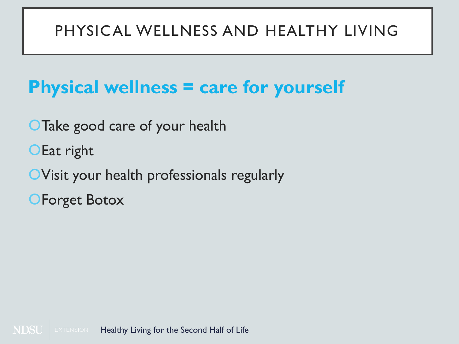# **Physical wellness = care for yourself**

- **OTake good care of your health**
- OEat right
- Visit your health professionals regularly
- **OForget Botox**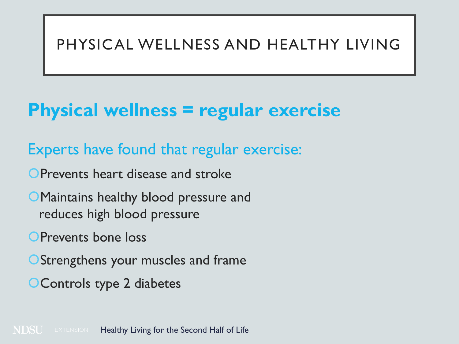# **Physical wellness = regular exercise**

## Experts have found that regular exercise:

**OPrevents heart disease and stroke** 

- **OMaintains healthy blood pressure and** reduces high blood pressure
- **OPrevents bone loss**
- **OStrengthens your muscles and frame**
- **OControls type 2 diabetes**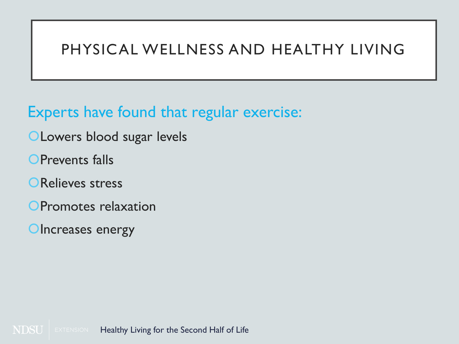#### Experts have found that regular exercise:

- **OLowers blood sugar levels**
- **OPrevents falls**
- ORelieves stress
- **OPromotes relaxation**
- **OIncreases energy**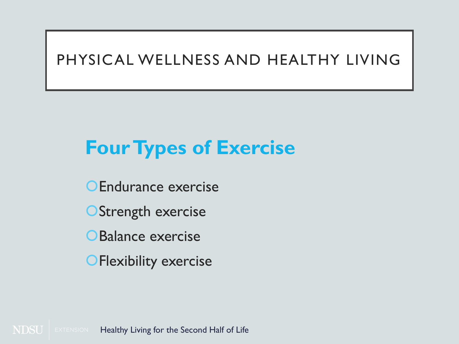# **Four Types of Exercise**

**OEndurance exercise OStrength exercise OBalance exercise OFlexibility exercise**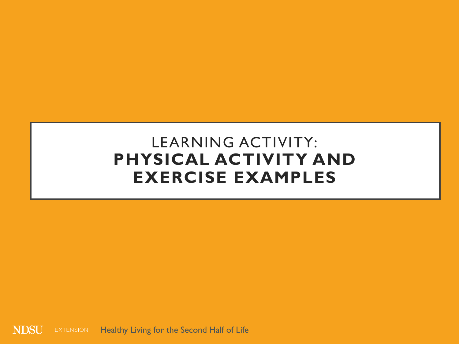#### LEARNING ACTIVITY: **PHYSICAL ACTIVITY AND EXERCISE EXAMPLES**

EXTENSION Healthy Living for the Second Half of Life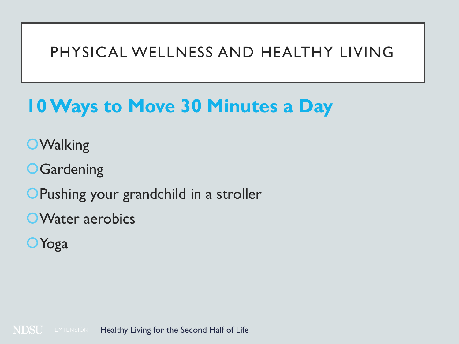# **10 Ways to Move 30 Minutes a Day**

- **O**Walking
- **OGardening**
- **OPushing your grandchild in a stroller**
- Water aerobics
- **O**Yoga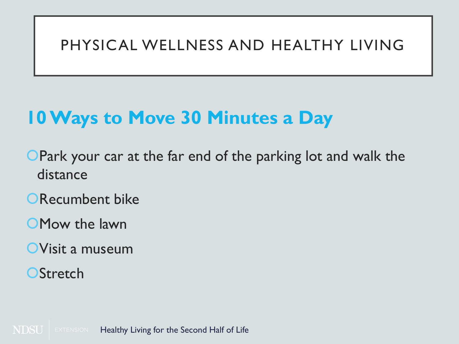## **10 Ways to Move 30 Minutes a Day**

- **OPark your car at the far end of the parking lot and walk the** distance
- **ORecumbent bike**
- **OMow the lawn**
- Visit a museum
- **OStretch**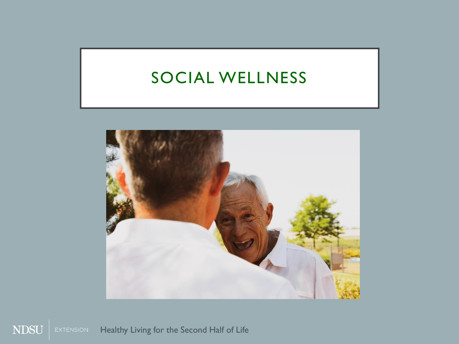## SOCIAL WELLNESS

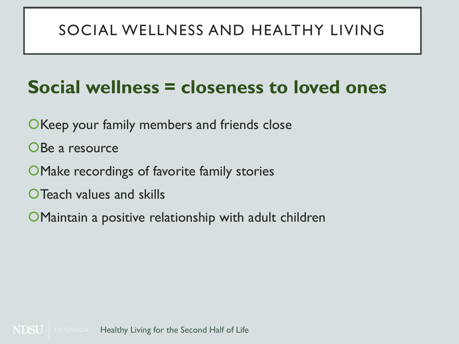# **Social wellness = closeness to loved ones**

- **OKeep your family members and friends close**
- OBe a resource
- **OMake recordings of favorite family stories**
- **OTeach values and skills**
- Maintain a positive relationship with adult children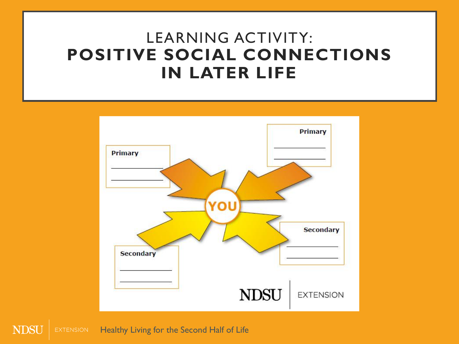#### LEARNING ACTIVITY: **POSITIVE SOCIAL CONNECTIONS IN LATER LIFE**



**NDSI** Healthy Living for the Second Half of Life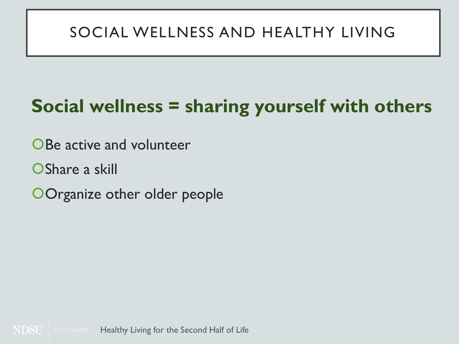# **Social wellness = sharing yourself with others**

- OBe active and volunteer
- OShare a skill
- OOrganize other older people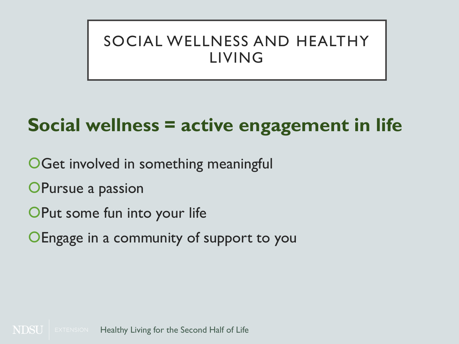# **Social wellness = active engagement in life**

- OGet involved in something meaningful
- **OPursue a passion**
- **OPut some fun into your life**
- Engage in a community of support to you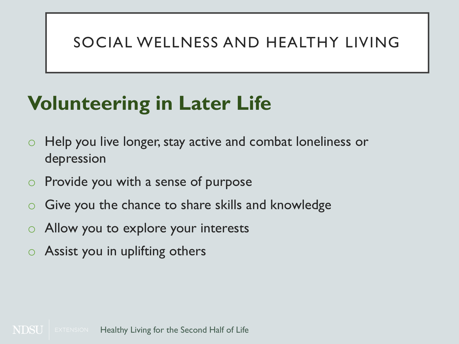# **Volunteering in Later Life**

- o Help you live longer, stay active and combat loneliness or depression
- o Provide you with a sense of purpose
- o Give you the chance to share skills and knowledge
- Allow you to explore your interests
- Assist you in uplifting others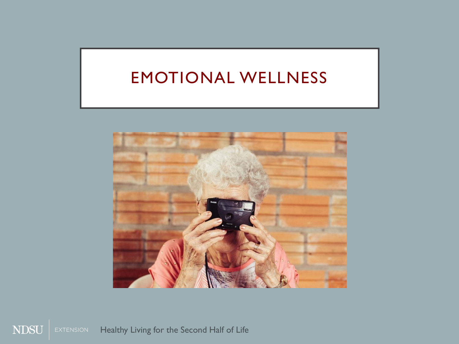## EMOTIONAL WELLNESS



**NDSU** EXTENSION Healthy Living for the Second Half of Life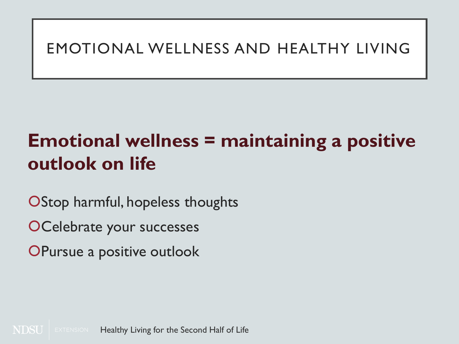# **Emotional wellness = maintaining a positive outlook on life**

OStop harmful, hopeless thoughts

OCelebrate your successes

OPursue a positive outlook

Healthy Living for the Second Half of Life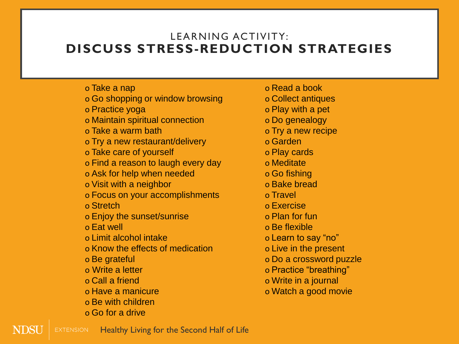#### LEARNING ACTIVITY: **DISCUSS STRESS-REDUCTION STRATEGIES**

- o Take a nap
- o Go shopping or window browsing
- o Practice yoga
- o Maintain spiritual connection
- o Take a warm bath
- o Try a new restaurant/delivery
- o Take care of yourself
- o Find a reason to laugh every day
- o Ask for help when needed
- o Visit with a neighbor
- o Focus on your accomplishments
- o Stretch
- o Enjoy the sunset/sunrise
- o Eat well
- o Limit alcohol intake
- o Know the effects of medication
- o Be grateful
- o Write a letter
- o Call a friend
- o Have a manicure
- o Be with children
- o Go for a drive
- o Read a book
- o Collect antiques
- o Play with a pet
- o Do genealogy
- o Try a new recipe
- o Garden
- o Play cards
- o Meditate
- o Go fishing
- o Bake bread
- o Travel
- o Exercise
- o Plan for fun
- o Be flexible
- o Learn to say "no"
- o Live in the present
- o Do a crossword puzzle
- o Practice "breathing"
- o Write in a journal
- o Watch a good movie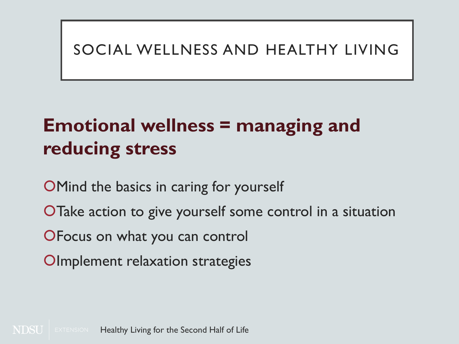# **Emotional wellness = managing and reducing stress**

OMind the basics in caring for yourself

- O Take action to give yourself some control in a situation
- Focus on what you can control
- **OImplement relaxation strategies**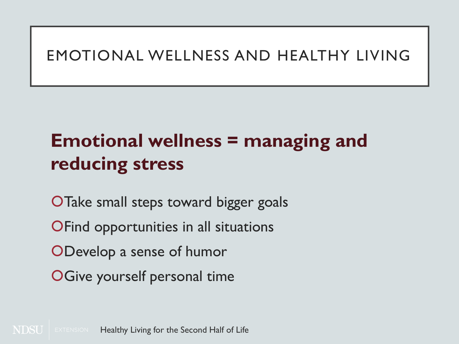# **Emotional wellness = managing and reducing stress**

O Take small steps toward bigger goals O Find opportunities in all situations Develop a sense of humor **OGive yourself personal time**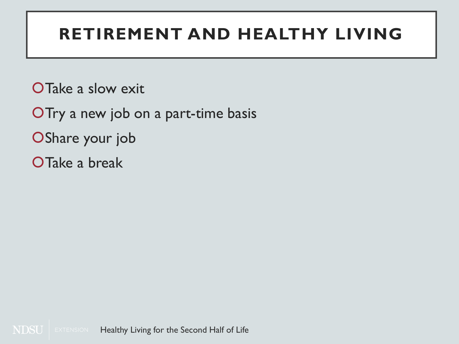# **RETIREMENT AND HEALTHY LIVING**

O Take a slow exit

O Try a new job on a part-time basis

OShare your job

OTake a break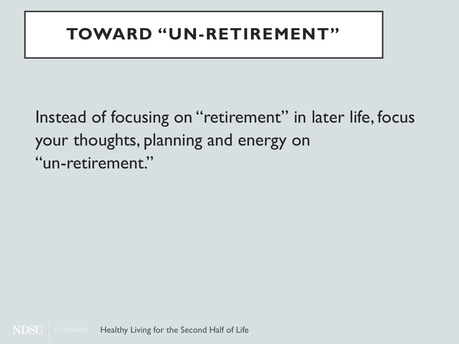## **TOWARD "UN-RETIREMENT"**

Instead of focusing on "retirement" in later life, focus your thoughts, planning and energy on "un-retirement."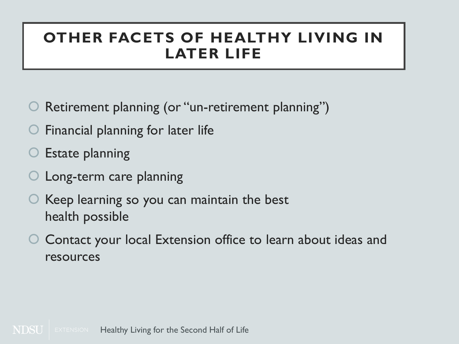#### **OTHER FACETS OF HEALTHY LIVING IN LATER LIFE**

- Retirement planning (or "un-retirement planning")
- Financial planning for later life
- Estate planning
- Long-term care planning
- Keep learning so you can maintain the best health possible
- Contact your local Extension office to learn about ideas and resources